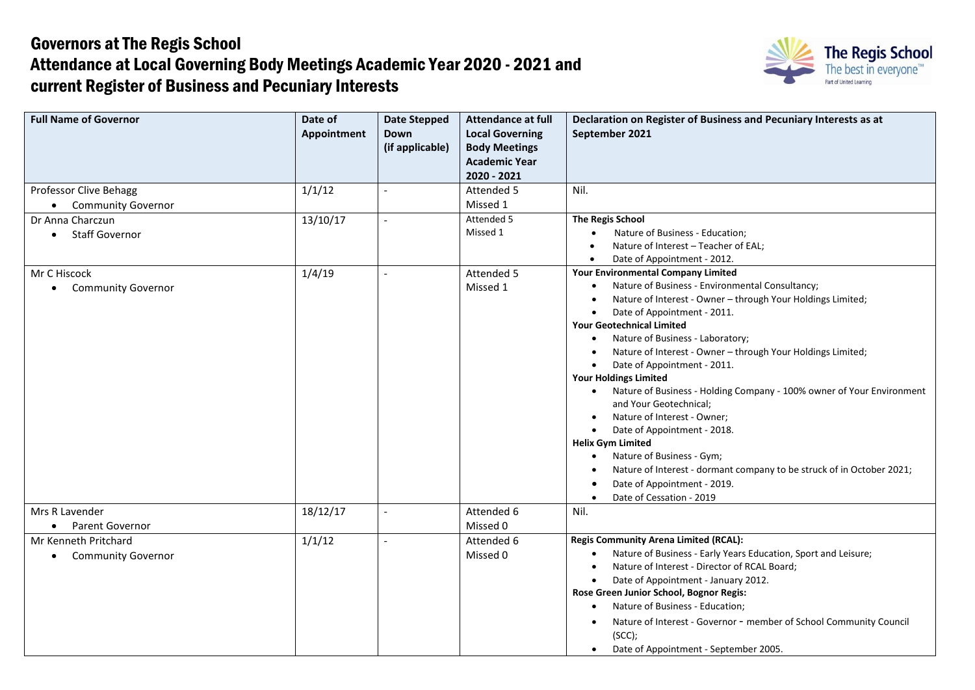## Governors at The Regis School Attendance at Local Governing Body Meetings Academic Year 2020 - 2021 and current Register of Business and Pecuniary Interests



| <b>Full Name of Governor</b>           | Date of<br>Appointment | <b>Date Stepped</b><br>Down<br>(if applicable) | <b>Attendance at full</b><br><b>Local Governing</b><br><b>Body Meetings</b><br><b>Academic Year</b><br>2020 - 2021 | Declaration on Register of Business and Pecuniary Interests as at<br>September 2021             |
|----------------------------------------|------------------------|------------------------------------------------|--------------------------------------------------------------------------------------------------------------------|-------------------------------------------------------------------------------------------------|
| Professor Clive Behagg                 | 1/1/12                 |                                                | Attended 5                                                                                                         | Nil.                                                                                            |
| <b>Community Governor</b>              |                        |                                                | Missed 1                                                                                                           |                                                                                                 |
| Dr Anna Charczun                       | 13/10/17               | $\sim$                                         | Attended 5                                                                                                         | <b>The Regis School</b>                                                                         |
| • Staff Governor                       |                        |                                                | Missed 1                                                                                                           | Nature of Business - Education;<br>$\bullet$                                                    |
|                                        |                        |                                                |                                                                                                                    | Nature of Interest - Teacher of EAL;<br>$\bullet$                                               |
|                                        |                        |                                                |                                                                                                                    | Date of Appointment - 2012.<br>$\bullet$                                                        |
| Mr C Hiscock                           | 1/4/19                 | $\blacksquare$                                 | Attended 5                                                                                                         | <b>Your Environmental Company Limited</b>                                                       |
| <b>Community Governor</b><br>$\bullet$ |                        |                                                | Missed 1                                                                                                           | Nature of Business - Environmental Consultancy;                                                 |
|                                        |                        |                                                |                                                                                                                    | Nature of Interest - Owner - through Your Holdings Limited;<br>$\bullet$                        |
|                                        |                        |                                                |                                                                                                                    | Date of Appointment - 2011.<br>$\bullet$                                                        |
|                                        |                        |                                                |                                                                                                                    | <b>Your Geotechnical Limited</b>                                                                |
|                                        |                        |                                                |                                                                                                                    | Nature of Business - Laboratory;                                                                |
|                                        |                        |                                                |                                                                                                                    | Nature of Interest - Owner - through Your Holdings Limited;                                     |
|                                        |                        |                                                |                                                                                                                    | Date of Appointment - 2011.<br>$\bullet$                                                        |
|                                        |                        |                                                |                                                                                                                    | <b>Your Holdings Limited</b>                                                                    |
|                                        |                        |                                                |                                                                                                                    | Nature of Business - Holding Company - 100% owner of Your Environment<br>and Your Geotechnical; |
|                                        |                        |                                                |                                                                                                                    | Nature of Interest - Owner;<br>$\bullet$                                                        |
|                                        |                        |                                                |                                                                                                                    | Date of Appointment - 2018.<br>$\bullet$                                                        |
|                                        |                        |                                                |                                                                                                                    | <b>Helix Gym Limited</b>                                                                        |
|                                        |                        |                                                |                                                                                                                    | Nature of Business - Gym;<br>$\bullet$                                                          |
|                                        |                        |                                                |                                                                                                                    | Nature of Interest - dormant company to be struck of in October 2021;<br>$\bullet$              |
|                                        |                        |                                                |                                                                                                                    | Date of Appointment - 2019.<br>O                                                                |
|                                        |                        |                                                |                                                                                                                    | Date of Cessation - 2019<br>$\bullet$                                                           |
| Mrs R Lavender                         | 18/12/17               | $\blacksquare$                                 | Attended 6                                                                                                         | Nil.                                                                                            |
| • Parent Governor                      |                        |                                                | Missed 0                                                                                                           |                                                                                                 |
| Mr Kenneth Pritchard                   | 1/1/12                 | $\overline{\phantom{a}}$                       | Attended 6                                                                                                         | <b>Regis Community Arena Limited (RCAL):</b>                                                    |
| <b>Community Governor</b><br>$\bullet$ |                        |                                                | Missed 0                                                                                                           | Nature of Business - Early Years Education, Sport and Leisure;                                  |
|                                        |                        |                                                |                                                                                                                    | Nature of Interest - Director of RCAL Board;<br>$\bullet$                                       |
|                                        |                        |                                                |                                                                                                                    | Date of Appointment - January 2012.                                                             |
|                                        |                        |                                                |                                                                                                                    | Rose Green Junior School, Bognor Regis:                                                         |
|                                        |                        |                                                |                                                                                                                    | Nature of Business - Education;                                                                 |
|                                        |                        |                                                |                                                                                                                    | Nature of Interest - Governor - member of School Community Council                              |
|                                        |                        |                                                |                                                                                                                    | (SCC);                                                                                          |
|                                        |                        |                                                |                                                                                                                    | Date of Appointment - September 2005.<br>$\bullet$                                              |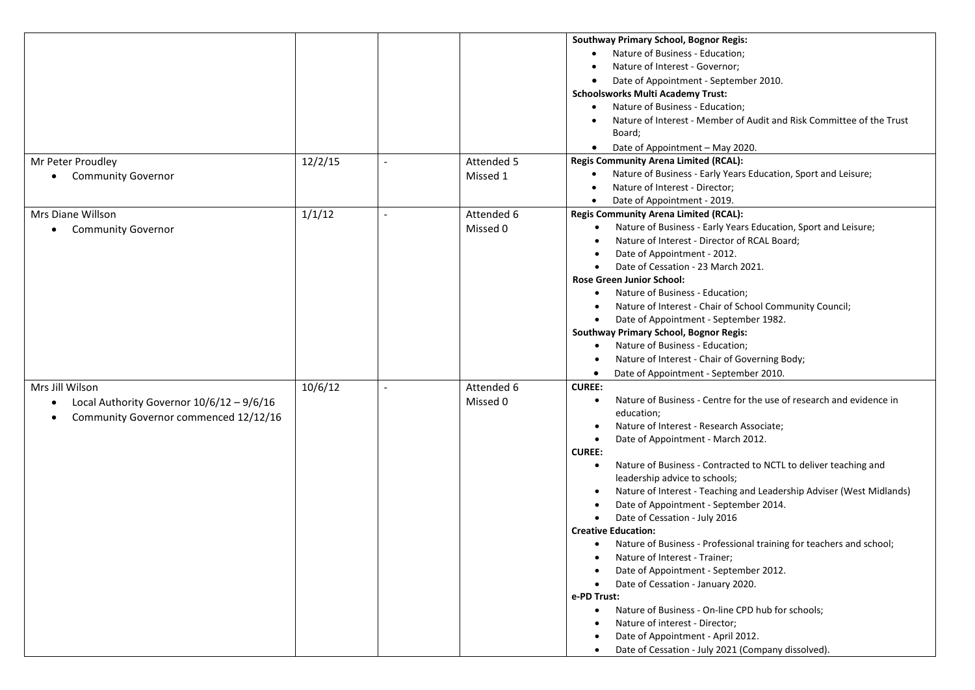| <b>Southway Primary School, Bognor Regis:</b><br>Nature of Business - Education;<br>$\bullet$<br>Nature of Interest - Governor;<br>$\bullet$<br>Date of Appointment - September 2010.<br>٠<br><b>Schoolsworks Multi Academy Trust:</b><br>Nature of Business - Education;<br>$\bullet$<br>Nature of Interest - Member of Audit and Risk Committee of the Trust<br>Board;<br>Date of Appointment - May 2020.<br>$\bullet$<br><b>Regis Community Arena Limited (RCAL):</b><br>12/2/15<br>Attended 5<br>Mr Peter Proudley<br>$\overline{a}$<br>Nature of Business - Early Years Education, Sport and Leisure;<br>$\bullet$<br>Missed 1<br><b>Community Governor</b><br>Nature of Interest - Director;<br>$\bullet$<br>Date of Appointment - 2019.<br>$\bullet$<br>1/1/12<br><b>Regis Community Arena Limited (RCAL):</b><br>Attended 6<br>Mrs Diane Willson<br>$\overline{a}$<br>Nature of Business - Early Years Education, Sport and Leisure;<br>Missed 0<br><b>Community Governor</b><br>Nature of Interest - Director of RCAL Board;<br>Date of Appointment - 2012.<br>Date of Cessation - 23 March 2021. |
|------------------------------------------------------------------------------------------------------------------------------------------------------------------------------------------------------------------------------------------------------------------------------------------------------------------------------------------------------------------------------------------------------------------------------------------------------------------------------------------------------------------------------------------------------------------------------------------------------------------------------------------------------------------------------------------------------------------------------------------------------------------------------------------------------------------------------------------------------------------------------------------------------------------------------------------------------------------------------------------------------------------------------------------------------------------------------------------------------------|
|                                                                                                                                                                                                                                                                                                                                                                                                                                                                                                                                                                                                                                                                                                                                                                                                                                                                                                                                                                                                                                                                                                            |
|                                                                                                                                                                                                                                                                                                                                                                                                                                                                                                                                                                                                                                                                                                                                                                                                                                                                                                                                                                                                                                                                                                            |
|                                                                                                                                                                                                                                                                                                                                                                                                                                                                                                                                                                                                                                                                                                                                                                                                                                                                                                                                                                                                                                                                                                            |
|                                                                                                                                                                                                                                                                                                                                                                                                                                                                                                                                                                                                                                                                                                                                                                                                                                                                                                                                                                                                                                                                                                            |
|                                                                                                                                                                                                                                                                                                                                                                                                                                                                                                                                                                                                                                                                                                                                                                                                                                                                                                                                                                                                                                                                                                            |
|                                                                                                                                                                                                                                                                                                                                                                                                                                                                                                                                                                                                                                                                                                                                                                                                                                                                                                                                                                                                                                                                                                            |
|                                                                                                                                                                                                                                                                                                                                                                                                                                                                                                                                                                                                                                                                                                                                                                                                                                                                                                                                                                                                                                                                                                            |
|                                                                                                                                                                                                                                                                                                                                                                                                                                                                                                                                                                                                                                                                                                                                                                                                                                                                                                                                                                                                                                                                                                            |
|                                                                                                                                                                                                                                                                                                                                                                                                                                                                                                                                                                                                                                                                                                                                                                                                                                                                                                                                                                                                                                                                                                            |
|                                                                                                                                                                                                                                                                                                                                                                                                                                                                                                                                                                                                                                                                                                                                                                                                                                                                                                                                                                                                                                                                                                            |
|                                                                                                                                                                                                                                                                                                                                                                                                                                                                                                                                                                                                                                                                                                                                                                                                                                                                                                                                                                                                                                                                                                            |
|                                                                                                                                                                                                                                                                                                                                                                                                                                                                                                                                                                                                                                                                                                                                                                                                                                                                                                                                                                                                                                                                                                            |
|                                                                                                                                                                                                                                                                                                                                                                                                                                                                                                                                                                                                                                                                                                                                                                                                                                                                                                                                                                                                                                                                                                            |
|                                                                                                                                                                                                                                                                                                                                                                                                                                                                                                                                                                                                                                                                                                                                                                                                                                                                                                                                                                                                                                                                                                            |
|                                                                                                                                                                                                                                                                                                                                                                                                                                                                                                                                                                                                                                                                                                                                                                                                                                                                                                                                                                                                                                                                                                            |
|                                                                                                                                                                                                                                                                                                                                                                                                                                                                                                                                                                                                                                                                                                                                                                                                                                                                                                                                                                                                                                                                                                            |
|                                                                                                                                                                                                                                                                                                                                                                                                                                                                                                                                                                                                                                                                                                                                                                                                                                                                                                                                                                                                                                                                                                            |
|                                                                                                                                                                                                                                                                                                                                                                                                                                                                                                                                                                                                                                                                                                                                                                                                                                                                                                                                                                                                                                                                                                            |
| <b>Rose Green Junior School:</b>                                                                                                                                                                                                                                                                                                                                                                                                                                                                                                                                                                                                                                                                                                                                                                                                                                                                                                                                                                                                                                                                           |
|                                                                                                                                                                                                                                                                                                                                                                                                                                                                                                                                                                                                                                                                                                                                                                                                                                                                                                                                                                                                                                                                                                            |
| Nature of Business - Education;<br>$\bullet$                                                                                                                                                                                                                                                                                                                                                                                                                                                                                                                                                                                                                                                                                                                                                                                                                                                                                                                                                                                                                                                               |
| Nature of Interest - Chair of School Community Council;<br>$\bullet$                                                                                                                                                                                                                                                                                                                                                                                                                                                                                                                                                                                                                                                                                                                                                                                                                                                                                                                                                                                                                                       |
| Date of Appointment - September 1982.                                                                                                                                                                                                                                                                                                                                                                                                                                                                                                                                                                                                                                                                                                                                                                                                                                                                                                                                                                                                                                                                      |
| <b>Southway Primary School, Bognor Regis:</b>                                                                                                                                                                                                                                                                                                                                                                                                                                                                                                                                                                                                                                                                                                                                                                                                                                                                                                                                                                                                                                                              |
| Nature of Business - Education;                                                                                                                                                                                                                                                                                                                                                                                                                                                                                                                                                                                                                                                                                                                                                                                                                                                                                                                                                                                                                                                                            |
| Nature of Interest - Chair of Governing Body;                                                                                                                                                                                                                                                                                                                                                                                                                                                                                                                                                                                                                                                                                                                                                                                                                                                                                                                                                                                                                                                              |
| Date of Appointment - September 2010.<br>$\bullet$                                                                                                                                                                                                                                                                                                                                                                                                                                                                                                                                                                                                                                                                                                                                                                                                                                                                                                                                                                                                                                                         |
| 10/6/12<br>Attended 6<br><b>CUREE:</b><br>Mrs Jill Wilson                                                                                                                                                                                                                                                                                                                                                                                                                                                                                                                                                                                                                                                                                                                                                                                                                                                                                                                                                                                                                                                  |
| Nature of Business - Centre for the use of research and evidence in<br>Missed 0<br>$\bullet$<br>Local Authority Governor 10/6/12 - 9/6/16<br>$\bullet$                                                                                                                                                                                                                                                                                                                                                                                                                                                                                                                                                                                                                                                                                                                                                                                                                                                                                                                                                     |
| education;                                                                                                                                                                                                                                                                                                                                                                                                                                                                                                                                                                                                                                                                                                                                                                                                                                                                                                                                                                                                                                                                                                 |
| Community Governor commenced 12/12/16<br>$\bullet$<br>Nature of Interest - Research Associate;<br>$\bullet$                                                                                                                                                                                                                                                                                                                                                                                                                                                                                                                                                                                                                                                                                                                                                                                                                                                                                                                                                                                                |
| Date of Appointment - March 2012.<br>$\bullet$                                                                                                                                                                                                                                                                                                                                                                                                                                                                                                                                                                                                                                                                                                                                                                                                                                                                                                                                                                                                                                                             |
| <b>CUREE:</b>                                                                                                                                                                                                                                                                                                                                                                                                                                                                                                                                                                                                                                                                                                                                                                                                                                                                                                                                                                                                                                                                                              |
|                                                                                                                                                                                                                                                                                                                                                                                                                                                                                                                                                                                                                                                                                                                                                                                                                                                                                                                                                                                                                                                                                                            |
| Nature of Business - Contracted to NCTL to deliver teaching and<br>$\bullet$                                                                                                                                                                                                                                                                                                                                                                                                                                                                                                                                                                                                                                                                                                                                                                                                                                                                                                                                                                                                                               |
| leadership advice to schools;                                                                                                                                                                                                                                                                                                                                                                                                                                                                                                                                                                                                                                                                                                                                                                                                                                                                                                                                                                                                                                                                              |
| Nature of Interest - Teaching and Leadership Adviser (West Midlands)                                                                                                                                                                                                                                                                                                                                                                                                                                                                                                                                                                                                                                                                                                                                                                                                                                                                                                                                                                                                                                       |
| Date of Appointment - September 2014.                                                                                                                                                                                                                                                                                                                                                                                                                                                                                                                                                                                                                                                                                                                                                                                                                                                                                                                                                                                                                                                                      |
| Date of Cessation - July 2016                                                                                                                                                                                                                                                                                                                                                                                                                                                                                                                                                                                                                                                                                                                                                                                                                                                                                                                                                                                                                                                                              |
| <b>Creative Education:</b>                                                                                                                                                                                                                                                                                                                                                                                                                                                                                                                                                                                                                                                                                                                                                                                                                                                                                                                                                                                                                                                                                 |
| Nature of Business - Professional training for teachers and school;<br>$\bullet$                                                                                                                                                                                                                                                                                                                                                                                                                                                                                                                                                                                                                                                                                                                                                                                                                                                                                                                                                                                                                           |
| Nature of Interest - Trainer;                                                                                                                                                                                                                                                                                                                                                                                                                                                                                                                                                                                                                                                                                                                                                                                                                                                                                                                                                                                                                                                                              |
| Date of Appointment - September 2012.                                                                                                                                                                                                                                                                                                                                                                                                                                                                                                                                                                                                                                                                                                                                                                                                                                                                                                                                                                                                                                                                      |
| Date of Cessation - January 2020.                                                                                                                                                                                                                                                                                                                                                                                                                                                                                                                                                                                                                                                                                                                                                                                                                                                                                                                                                                                                                                                                          |
| e-PD Trust:                                                                                                                                                                                                                                                                                                                                                                                                                                                                                                                                                                                                                                                                                                                                                                                                                                                                                                                                                                                                                                                                                                |
| Nature of Business - On-line CPD hub for schools;                                                                                                                                                                                                                                                                                                                                                                                                                                                                                                                                                                                                                                                                                                                                                                                                                                                                                                                                                                                                                                                          |
| Nature of interest - Director;                                                                                                                                                                                                                                                                                                                                                                                                                                                                                                                                                                                                                                                                                                                                                                                                                                                                                                                                                                                                                                                                             |
| Date of Appointment - April 2012.                                                                                                                                                                                                                                                                                                                                                                                                                                                                                                                                                                                                                                                                                                                                                                                                                                                                                                                                                                                                                                                                          |
| Date of Cessation - July 2021 (Company dissolved).                                                                                                                                                                                                                                                                                                                                                                                                                                                                                                                                                                                                                                                                                                                                                                                                                                                                                                                                                                                                                                                         |